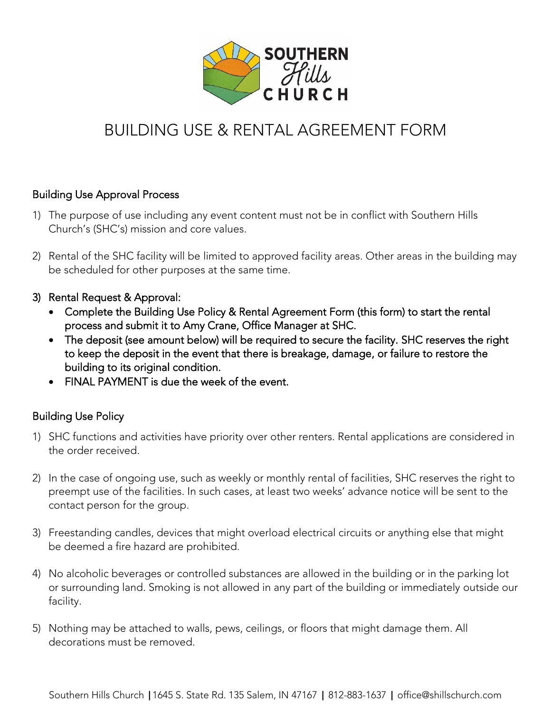

# **BUILDING USE & RENTAL AGREEMENT FORM** BUILDING USE & RENTAL AGREEMENT FOR THE RENTAL AGREEMENT FOR THE RENT

## Building Use Approval Process

- 1) The purpose of use including any event content must not be in conflict with Southern Hills<br>Church's (SHC's) mission and core values. Church's (SHC's) mission and core values.
- 2) Rental of the SHC facility milles inhibited to approved facility areas. Other areas in the building may be scheduled for other purposes at the same time.
- 
- <sup>2</sup><br>Complete the Building Use Policy & Rental Agreement Form (this form) to start the rental<br>Process and submit it to Appy Crape, Office Manager at SHC
	- The deposit (see amount below) will be required to secure the facility. SHC reserves the right to keep the deposit in the event that there is breakage. damage, or failure to restore the to keep the deposit in the event that there is breakage, damage, or failure to restore the
	- FINAL PAYMENT is due the week of the event.

## Building Use Policy

- 1) SHC functions and activities have priority over other renters. Rental applications are considered in the order received.
- 2) In the case of ongoing use, such as weekly or monthly rental of facilities, SHC reserves the right to presempt use of the facilities. In such cases, at least two weeks two weeks two weeks to the sent to the sent contact person for the group.
- 3) Freestanding candles, devices that might overload electrical circuits or anything else that might be deemed a fire hazard are prohibited.
- or currounding lond. Smoking is not allowed in any part of the building or immediately outside or or surrounding land. Smoking is not allowed in any part of the building or immediately outside our facility.
- 5) Nothing may be attached to walls, pews, ceilings, or floors that might damage them. All decorations must be removed.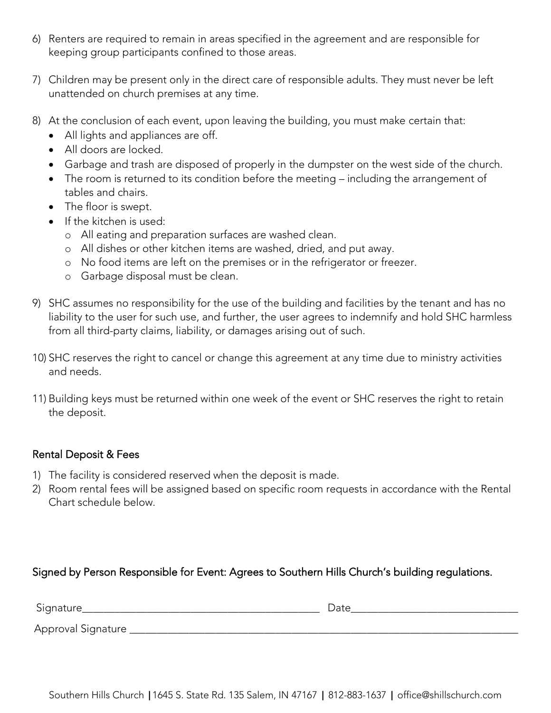- 6) Renters are required to remain in areas specified in the agreement and are responsible for keeping group participants confined to those areas.
- $\frac{1}{2}$  children may be presented on children may be left the direct care of  $\frac{1}{2}$  must need the left of  $\frac{1}{2}$ unattended on church premises at any time.
- 
- All lights and appliances are off.<br>• All lights and appliances are off.
	- All doors are locked.
	- Garbage and trash are disposed of properly in the dumpster on the west side of the church.
	- The room is returned to its condition before the meeting including the arrangement of tables and chairs.
	- The floor is swept.<br>• If the kitchen is use
	- If the kitchen is used:
		- <sup>o</sup> All eating and preparation surfaces are washed clean.
		- <sup>o</sup> All dishes or other kitchen items are washed, dried, and put away.
		- <sup>o</sup> No food items are left on the premises or in the refrigerator or freezer.
		- <sup>o</sup> Garbage disposal must be clean.
- 9) SHC assumes no responsibility for the use of the building and facilities by the tenant and has no liability to the user for such use, and further, the user agrees to indemnify and hold SHC harmless from all third-party claims, liability, or damages arising out of such.
- 10) SHC reserves the right to cancel or change this agreement at any time due to ministry activities and needs.
- 11) Building keys must be returned within one week of the event or SHC reserves the right to retain the deposit.

## Rental Deposit & Fees

- 
- 1) The facility is considered reserved when the deposit is made.<br>2) Room rental fees will be assigned based on specific room requests in accordance with the Rental Chart schedule below. Chart schedule below.

## Signed by Person Responsible for Event: Agrees to Southern Hills Church's building regulations.

| Signature_           | Date |
|----------------------|------|
| Approval Signature _ |      |